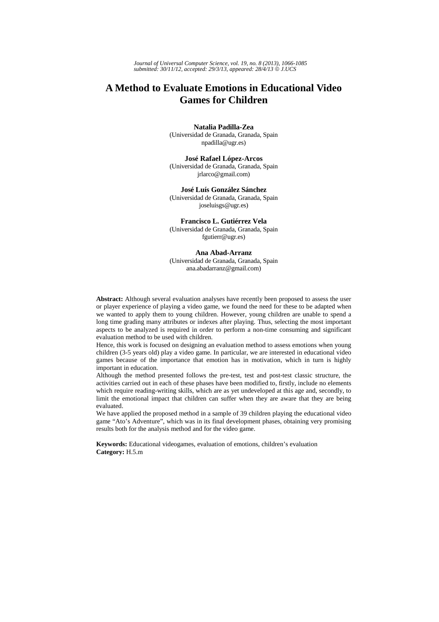*Journal of Universal Computer Science, vol. 19, no. 8 (2013), 1066-1085 submitted: 30/11/12, accepted: 29/3/13, appeared: 28/4/13* © *J.UCS*

# **A Method to Evaluate Emotions in Educational Video Games for Children**

**Natalia Padilla-Zea** 

(Universidad de Granada, Granada, Spain npadilla@ugr.es)

**José Rafael López-Arcos**  (Universidad de Granada, Granada, Spain jrlarco@gmail.com)

**José Luís González Sánchez**  (Universidad de Granada, Granada, Spain joseluisgs@ugr.es)

**Francisco L. Gutiérrez Vela**  (Universidad de Granada, Granada, Spain

fgutierr@ugr.es)

**Ana Abad-Arranz**  (Universidad de Granada, Granada, Spain ana.abadarranz@gmail.com)

**Abstract:** Although several evaluation analyses have recently been proposed to assess the user or player experience of playing a video game, we found the need for these to be adapted when we wanted to apply them to young children. However, young children are unable to spend a long time grading many attributes or indexes after playing. Thus, selecting the most important aspects to be analyzed is required in order to perform a non-time consuming and significant evaluation method to be used with children.

Hence, this work is focused on designing an evaluation method to assess emotions when young children (3-5 years old) play a video game. In particular, we are interested in educational video games because of the importance that emotion has in motivation, which in turn is highly important in education.

Although the method presented follows the pre-test, test and post-test classic structure, the activities carried out in each of these phases have been modified to, firstly, include no elements which require reading-writing skills, which are as yet undeveloped at this age and, secondly, to limit the emotional impact that children can suffer when they are aware that they are being evaluated.

We have applied the proposed method in a sample of 39 children playing the educational video game "Ato's Adventure", which was in its final development phases, obtaining very promising results both for the analysis method and for the video game.

**Keywords:** Educational videogames, evaluation of emotions, children's evaluation **Category:** H.5.m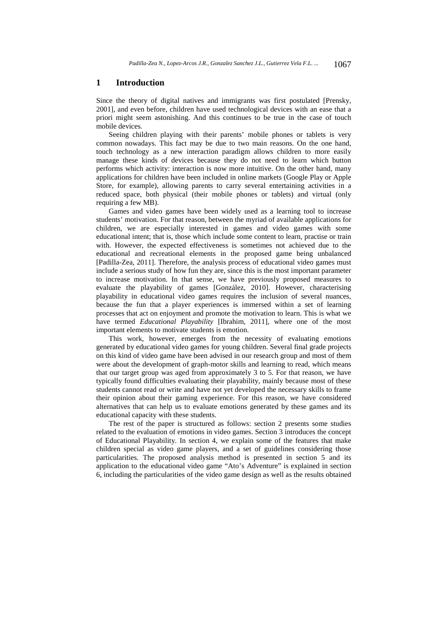### **1 Introduction**

Since the theory of digital natives and immigrants was first postulated [Prensky, 2001], and even before, children have used technological devices with an ease that a priori might seem astonishing. And this continues to be true in the case of touch mobile devices.

Seeing children playing with their parents' mobile phones or tablets is very common nowadays. This fact may be due to two main reasons. On the one hand, touch technology as a new interaction paradigm allows children to more easily manage these kinds of devices because they do not need to learn which button performs which activity: interaction is now more intuitive. On the other hand, many applications for children have been included in online markets (Google Play or Apple Store, for example), allowing parents to carry several entertaining activities in a reduced space, both physical (their mobile phones or tablets) and virtual (only requiring a few MB).

Games and video games have been widely used as a learning tool to increase students' motivation. For that reason, between the myriad of available applications for children, we are especially interested in games and video games with some educational intent; that is, those which include some content to learn, practise or train with. However, the expected effectiveness is sometimes not achieved due to the educational and recreational elements in the proposed game being unbalanced [Padilla-Zea, 2011]. Therefore, the analysis process of educational video games must include a serious study of how fun they are, since this is the most important parameter to increase motivation. In that sense, we have previously proposed measures to evaluate the playability of games [González, 2010]. However, characterising playability in educational video games requires the inclusion of several nuances, because the fun that a player experiences is immersed within a set of learning processes that act on enjoyment and promote the motivation to learn. This is what we have termed *Educational Playability* [Ibrahim, 2011], where one of the most important elements to motivate students is emotion.

This work, however, emerges from the necessity of evaluating emotions generated by educational video games for young children. Several final grade projects on this kind of video game have been advised in our research group and most of them were about the development of graph-motor skills and learning to read, which means that our target group was aged from approximately 3 to 5. For that reason, we have typically found difficulties evaluating their playability, mainly because most of these students cannot read or write and have not yet developed the necessary skills to frame their opinion about their gaming experience. For this reason, we have considered alternatives that can help us to evaluate emotions generated by these games and its educational capacity with these students.

The rest of the paper is structured as follows: section 2 presents some studies related to the evaluation of emotions in video games. Section 3 introduces the concept of Educational Playability. In section 4, we explain some of the features that make children special as video game players, and a set of guidelines considering those particularities. The proposed analysis method is presented in section 5 and its application to the educational video game "Ato's Adventure" is explained in section 6, including the particularities of the video game design as well as the results obtained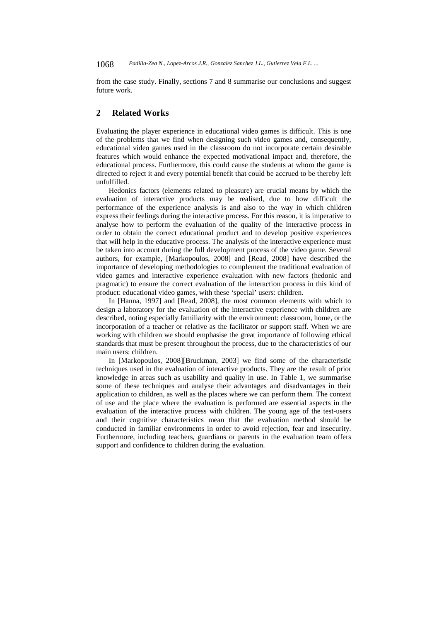from the case study. Finally, sections 7 and 8 summarise our conclusions and suggest future work.

# **2 Related Works**

Evaluating the player experience in educational video games is difficult. This is one of the problems that we find when designing such video games and, consequently, educational video games used in the classroom do not incorporate certain desirable features which would enhance the expected motivational impact and, therefore, the educational process. Furthermore, this could cause the students at whom the game is directed to reject it and every potential benefit that could be accrued to be thereby left unfulfilled.

Hedonics factors (elements related to pleasure) are crucial means by which the evaluation of interactive products may be realised, due to how difficult the performance of the experience analysis is and also to the way in which children express their feelings during the interactive process. For this reason, it is imperative to analyse how to perform the evaluation of the quality of the interactive process in order to obtain the correct educational product and to develop positive experiences that will help in the educative process. The analysis of the interactive experience must be taken into account during the full development process of the video game. Several authors, for example, [Markopoulos, 2008] and [Read, 2008] have described the importance of developing methodologies to complement the traditional evaluation of video games and interactive experience evaluation with new factors (hedonic and pragmatic) to ensure the correct evaluation of the interaction process in this kind of product: educational video games, with these 'special' users: children.

In [Hanna, 1997] and [Read, 2008], the most common elements with which to design a laboratory for the evaluation of the interactive experience with children are described, noting especially familiarity with the environment: classroom, home, or the incorporation of a teacher or relative as the facilitator or support staff. When we are working with children we should emphasise the great importance of following ethical standards that must be present throughout the process, due to the characteristics of our main users: children.

In [Markopoulos, 2008][Bruckman, 2003] we find some of the characteristic techniques used in the evaluation of interactive products. They are the result of prior knowledge in areas such as usability and quality in use. In Table 1, we summarise some of these techniques and analyse their advantages and disadvantages in their application to children, as well as the places where we can perform them. The context of use and the place where the evaluation is performed are essential aspects in the evaluation of the interactive process with children. The young age of the test-users and their cognitive characteristics mean that the evaluation method should be conducted in familiar environments in order to avoid rejection, fear and insecurity. Furthermore, including teachers, guardians or parents in the evaluation team offers support and confidence to children during the evaluation.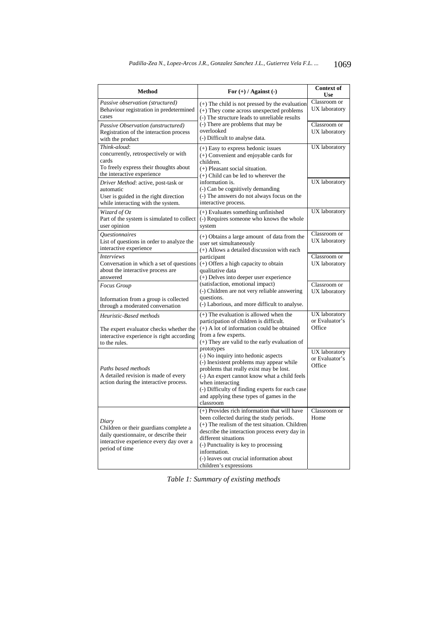| <b>Method</b>                                                                                                                                          | For $(+)$ / Against $(-)$                                                                                                                                                                                                                                                                                                                              | <b>Context of</b><br>Use                  |
|--------------------------------------------------------------------------------------------------------------------------------------------------------|--------------------------------------------------------------------------------------------------------------------------------------------------------------------------------------------------------------------------------------------------------------------------------------------------------------------------------------------------------|-------------------------------------------|
| Passive observation (structured)<br>Behaviour registration in predetermined<br>cases                                                                   | $(+)$ The child is not pressed by the evaluation<br>(+) They come across unexpected problems<br>(-) The structure leads to unreliable results                                                                                                                                                                                                          | Classroom or<br>UX laboratory             |
| Passive Observation (unstructured)<br>Registration of the interaction process<br>with the product                                                      | (-) There are problems that may be<br>Classroom or<br>overlooked<br>UX laboratory<br>(-) Difficult to analyse data.                                                                                                                                                                                                                                    |                                           |
| Think-aloud:<br>concurrently, retrospectively or with<br>cards<br>To freely express their thoughts about<br>the interactive experience                 | $(+)$ Easy to express hedonic issues<br>$(+)$ Convenient and enjoyable cards for<br>children.<br>$(+)$ Pleasant social situation.                                                                                                                                                                                                                      | UX laboratory                             |
| Driver Method: active, post-task or<br>automatic<br>User is guided in the right direction<br>while interacting with the system.                        | (+) Child can be led to wherever the<br>information is.<br>(-) Can be cognitively demanding<br>(-) The answers do not always focus on the<br>interactive process.                                                                                                                                                                                      | UX laboratory                             |
| Wizard of Oz<br>Part of the system is simulated to collect<br>user opinion                                                                             | (+) Evaluates something unfinished<br>(-) Requires someone who knows the whole<br>system                                                                                                                                                                                                                                                               | UX laboratory                             |
| <i><b>Ouestionnaires</b></i><br>List of questions in order to analyze the<br>interactive experience                                                    | $(+)$ Obtains a large amount of data from the<br>user set simultaneously<br>(+) Allows a detailed discussion with each                                                                                                                                                                                                                                 | Classroom or<br>UX laboratory             |
| <b>Interviews</b><br>Conversation in which a set of questions<br>about the interactive process are<br>answered                                         | participant<br>$(+)$ Offers a high capacity to obtain<br>qualitative data<br>(+) Delves into deeper user experience                                                                                                                                                                                                                                    | Classroom or<br>UX laboratory             |
| <b>Focus Group</b><br>Information from a group is collected<br>through a moderated conversation                                                        | (satisfaction, emotional impact)<br>(-) Children are not very reliable answering<br>questions.<br>(-) Laborious, and more difficult to analyse.                                                                                                                                                                                                        | Classroom or<br>UX laboratory             |
| Heuristic-Based methods<br>The expert evaluator checks whether the<br>interactive experience is right according<br>to the rules.                       | $(+)$ The evaluation is allowed when the<br>participation of children is difficult.<br>$(+)$ A lot of information could be obtained<br>from a few experts.<br>$(+)$ They are valid to the early evaluation of                                                                                                                                          | UX laboratory<br>or Evaluator's<br>Office |
| Paths based methods<br>A detailed revision is made of every<br>action during the interactive process.                                                  | prototypes<br>(-) No inquiry into hedonic aspects<br>(-) Inexistent problems may appear while<br>problems that really exist may be lost.<br>(-) An expert cannot know what a child feels<br>when interacting<br>(-) Difficulty of finding experts for each case<br>and applying these types of games in the<br>classroom                               | UX laboratory<br>or Evaluator's<br>Office |
| Diary<br>Children or their guardians complete a<br>daily questionnaire, or describe their<br>interactive experience every day over a<br>period of time | $(+)$ Provides rich information that will have<br>been collected during the study periods.<br>$(+)$ The realism of the test situation. Children<br>describe the interaction process every day in<br>different situations<br>(-) Punctuality is key to processing<br>information.<br>(-) leaves out crucial information about<br>children's expressions | Classroom or<br>Home                      |

*Table 1: Summary of existing methods*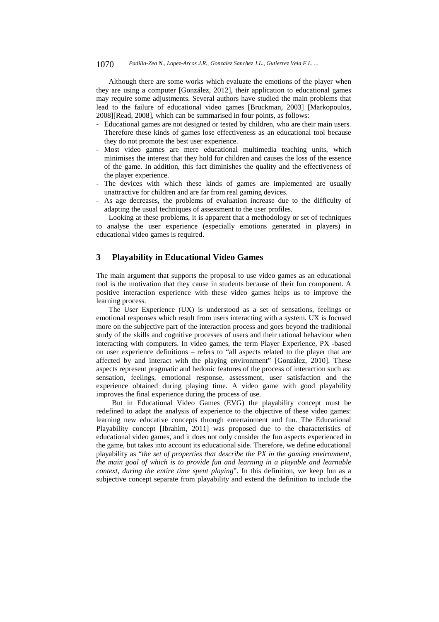Although there are some works which evaluate the emotions of the player when they are using a computer [González, 2012], their application to educational games may require some adjustments. Several authors have studied the main problems that lead to the failure of educational video games [Bruckman, 2003] [Markopoulos, 2008][Read, 2008], which can be summarised in four points, as follows:

- Educational games are not designed or tested by children, who are their main users. Therefore these kinds of games lose effectiveness as an educational tool because they do not promote the best user experience.
- Most video games are mere educational multimedia teaching units, which minimises the interest that they hold for children and causes the loss of the essence of the game. In addition, this fact diminishes the quality and the effectiveness of the player experience.
- The devices with which these kinds of games are implemented are usually unattractive for children and are far from real gaming devices.
- As age decreases, the problems of evaluation increase due to the difficulty of adapting the usual techniques of assessment to the user profiles.

Looking at these problems, it is apparent that a methodology or set of techniques to analyse the user experience (especially emotions generated in players) in educational video games is required.

# **3 Playability in Educational Video Games**

The main argument that supports the proposal to use video games as an educational tool is the motivation that they cause in students because of their fun component. A positive interaction experience with these video games helps us to improve the learning process.

The User Experience (UX) is understood as a set of sensations, feelings or emotional responses which result from users interacting with a system. UX is focused more on the subjective part of the interaction process and goes beyond the traditional study of the skills and cognitive processes of users and their rational behaviour when interacting with computers. In video games, the term Player Experience, PX -based on user experience definitions – refers to "all aspects related to the player that are affected by and interact with the playing environment" [González, 2010]. These aspects represent pragmatic and hedonic features of the process of interaction such as: sensation, feelings, emotional response, assessment, user satisfaction and the experience obtained during playing time. A video game with good playability improves the final experience during the process of use.

But in Educational Video Games (EVG) the playability concept must be redefined to adapt the analysis of experience to the objective of these video games: learning new educative concepts through entertainment and fun. The Educational Playability concept [Ibrahim, 2011] was proposed due to the characteristics of educational video games, and it does not only consider the fun aspects experienced in the game, but takes into account its educational side. Therefore, we define educational playability as "*the set of properties that describe the PX in the gaming environment, the main goal of which is to provide fun and learning in a playable and learnable context, during the entire time spent playing*". In this definition, we keep fun as a subjective concept separate from playability and extend the definition to include the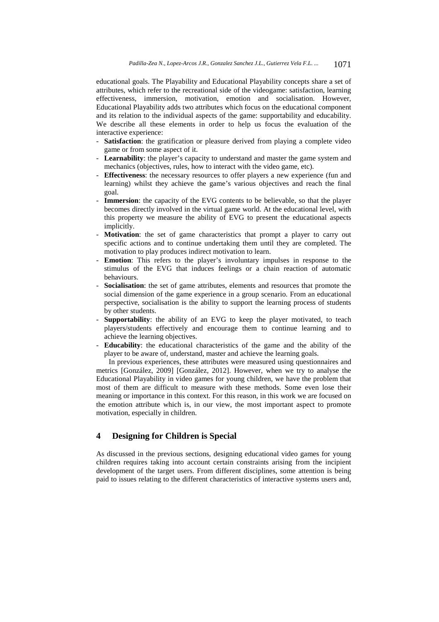educational goals. The Playability and Educational Playability concepts share a set of attributes, which refer to the recreational side of the videogame: satisfaction, learning effectiveness, immersion, motivation, emotion and socialisation. However, Educational Playability adds two attributes which focus on the educational component and its relation to the individual aspects of the game: supportability and educability. We describe all these elements in order to help us focus the evaluation of the interactive experience:

- **Satisfaction**: the gratification or pleasure derived from playing a complete video game or from some aspect of it.
- **Learnability**: the player's capacity to understand and master the game system and mechanics (objectives, rules, how to interact with the video game, etc).
- **Effectiveness**: the necessary resources to offer players a new experience (fun and learning) whilst they achieve the game's various objectives and reach the final goal.
- **Immersion**: the capacity of the EVG contents to be believable, so that the player becomes directly involved in the virtual game world. At the educational level, with this property we measure the ability of EVG to present the educational aspects implicitly.
- **Motivation**: the set of game characteristics that prompt a player to carry out specific actions and to continue undertaking them until they are completed. The motivation to play produces indirect motivation to learn.
- **Emotion**: This refers to the player's involuntary impulses in response to the stimulus of the EVG that induces feelings or a chain reaction of automatic behaviours.
- Socialisation: the set of game attributes, elements and resources that promote the social dimension of the game experience in a group scenario. From an educational perspective, socialisation is the ability to support the learning process of students by other students.
- **Supportability**: the ability of an EVG to keep the player motivated, to teach players/students effectively and encourage them to continue learning and to achieve the learning objectives.
- **Educability**: the educational characteristics of the game and the ability of the player to be aware of, understand, master and achieve the learning goals.

In previous experiences, these attributes were measured using questionnaires and metrics [González, 2009] [González, 2012]. However, when we try to analyse the Educational Playability in video games for young children, we have the problem that most of them are difficult to measure with these methods. Some even lose their meaning or importance in this context. For this reason, in this work we are focused on the emotion attribute which is, in our view, the most important aspect to promote motivation, especially in children.

# **4 Designing for Children is Special**

As discussed in the previous sections, designing educational video games for young children requires taking into account certain constraints arising from the incipient development of the target users. From different disciplines, some attention is being paid to issues relating to the different characteristics of interactive systems users and,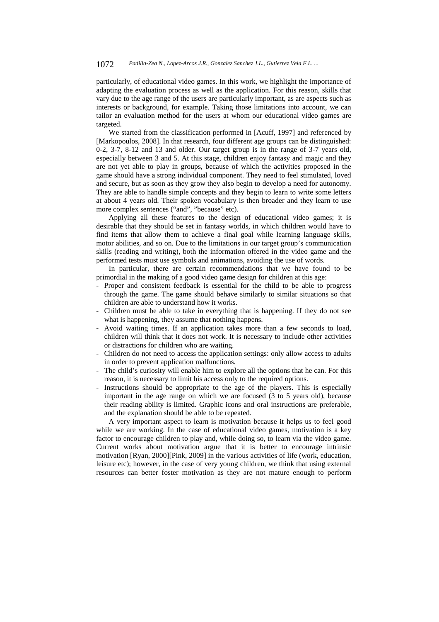particularly, of educational video games. In this work, we highlight the importance of adapting the evaluation process as well as the application. For this reason, skills that vary due to the age range of the users are particularly important, as are aspects such as interests or background, for example. Taking those limitations into account, we can tailor an evaluation method for the users at whom our educational video games are targeted.

We started from the classification performed in [Acuff, 1997] and referenced by [Markopoulos, 2008]. In that research, four different age groups can be distinguished: 0-2, 3-7, 8-12 and 13 and older. Our target group is in the range of 3-7 years old, especially between 3 and 5. At this stage, children enjoy fantasy and magic and they are not yet able to play in groups, because of which the activities proposed in the game should have a strong individual component. They need to feel stimulated, loved and secure, but as soon as they grow they also begin to develop a need for autonomy. They are able to handle simple concepts and they begin to learn to write some letters at about 4 years old. Their spoken vocabulary is then broader and they learn to use more complex sentences ("and", "because" etc).

Applying all these features to the design of educational video games; it is desirable that they should be set in fantasy worlds, in which children would have to find items that allow them to achieve a final goal while learning language skills, motor abilities, and so on. Due to the limitations in our target group's communication skills (reading and writing), both the information offered in the video game and the performed tests must use symbols and animations, avoiding the use of words.

In particular, there are certain recommendations that we have found to be primordial in the making of a good video game design for children at this age:

- Proper and consistent feedback is essential for the child to be able to progress through the game. The game should behave similarly to similar situations so that children are able to understand how it works.
- Children must be able to take in everything that is happening. If they do not see what is happening, they assume that nothing happens.
- Avoid waiting times. If an application takes more than a few seconds to load, children will think that it does not work. It is necessary to include other activities or distractions for children who are waiting.
- Children do not need to access the application settings: only allow access to adults in order to prevent application malfunctions.
- The child's curiosity will enable him to explore all the options that he can. For this reason, it is necessary to limit his access only to the required options.
- Instructions should be appropriate to the age of the players. This is especially important in the age range on which we are focused (3 to 5 years old), because their reading ability is limited. Graphic icons and oral instructions are preferable, and the explanation should be able to be repeated.

A very important aspect to learn is motivation because it helps us to feel good while we are working. In the case of educational video games, motivation is a key factor to encourage children to play and, while doing so, to learn via the video game. Current works about motivation argue that it is better to encourage intrinsic motivation [Ryan, 2000][Pink, 2009] in the various activities of life (work, education, leisure etc); however, in the case of very young children, we think that using external resources can better foster motivation as they are not mature enough to perform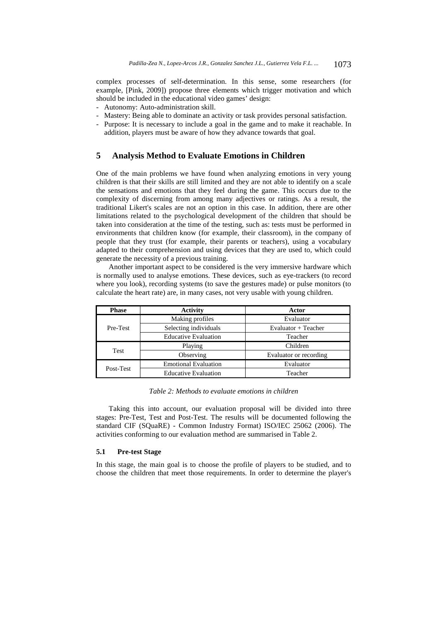complex processes of self-determination. In this sense, some researchers (for example, [Pink, 2009]) propose three elements which trigger motivation and which should be included in the educational video games' design:

- Autonomy: Auto-administration skill.
- Mastery: Being able to dominate an activity or task provides personal satisfaction.
- Purpose: It is necessary to include a goal in the game and to make it reachable. In addition, players must be aware of how they advance towards that goal.

## **5 Analysis Method to Evaluate Emotions in Children**

One of the main problems we have found when analyzing emotions in very young children is that their skills are still limited and they are not able to identify on a scale the sensations and emotions that they feel during the game. This occurs due to the complexity of discerning from among many adjectives or ratings. As a result, the traditional Likert's scales are not an option in this case. In addition, there are other limitations related to the psychological development of the children that should be taken into consideration at the time of the testing, such as: tests must be performed in environments that children know (for example, their classroom), in the company of people that they trust (for example, their parents or teachers), using a vocabulary adapted to their comprehension and using devices that they are used to, which could generate the necessity of a previous training.

Another important aspect to be considered is the very immersive hardware which is normally used to analyse emotions. These devices, such as eye-trackers (to record where you look), recording systems (to save the gestures made) or pulse monitors (to calculate the heart rate) are, in many cases, not very usable with young children.

| <b>Phase</b> | <b>Activity</b>             | Actor                  |
|--------------|-----------------------------|------------------------|
| Pre-Test     | Making profiles             | Evaluator              |
|              | Selecting individuals       | Evaluator $+$ Teacher  |
|              | <b>Educative Evaluation</b> | Teacher                |
| <b>Test</b>  | Playing                     | Children               |
|              | Observing                   | Evaluator or recording |
| Post-Test    | <b>Emotional Evaluation</b> | Evaluator              |
|              | <b>Educative Evaluation</b> | Teacher                |

#### *Table 2: Methods to evaluate emotions in children*

Taking this into account, our evaluation proposal will be divided into three stages: Pre-Test, Test and Post-Test. The results will be documented following the standard CIF (SQuaRE) - Common Industry Format) ISO/IEC 25062 (2006). The activities conforming to our evaluation method are summarised in Table 2.

#### **5.1 Pre-test Stage**

In this stage, the main goal is to choose the profile of players to be studied, and to choose the children that meet those requirements. In order to determine the player's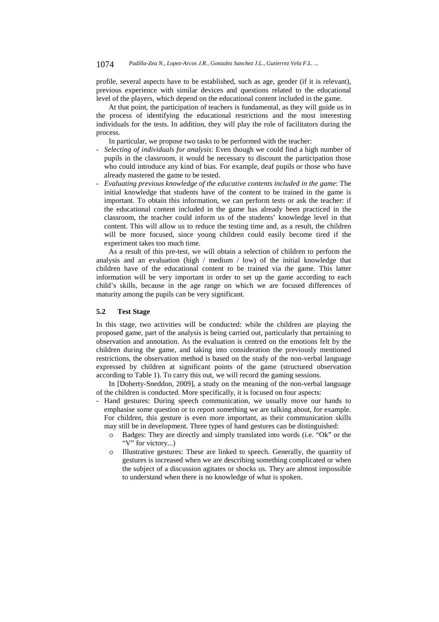profile, several aspects have to be established, such as age, gender (if it is relevant), previous experience with similar devices and questions related to the educational level of the players, which depend on the educational content included in the game.

At that point, the participation of teachers is fundamental, as they will guide us in the process of identifying the educational restrictions and the most interesting individuals for the tests. In addition, they will play the role of facilitators during the process.

In particular, we propose two tasks to be performed with the teacher:

- *Selecting of individuals for analysis*: Even though we could find a high number of pupils in the classroom, it would be necessary to discount the participation those who could introduce any kind of bias. For example, deaf pupils or those who have already mastered the game to be tested.
- *Evaluating previous knowledge of the educative contents included in the game*: The initial knowledge that students have of the content to be trained in the game is important. To obtain this information, we can perform tests or ask the teacher: if the educational content included in the game has already been practiced in the classroom, the teacher could inform us of the students' knowledge level in that content. This will allow us to reduce the testing time and, as a result, the children will be more focused, since young children could easily become tired if the experiment takes too much time.

As a result of this pre-test, we will obtain a selection of children to perform the analysis and an evaluation (high / medium / low) of the initial knowledge that children have of the educational content to be trained via the game. This latter information will be very important in order to set up the game according to each child's skills, because in the age range on which we are focused differences of maturity among the pupils can be very significant.

## **5.2 Test Stage**

In this stage, two activities will be conducted: while the children are playing the proposed game, part of the analysis is being carried out, particularly that pertaining to observation and annotation. As the evaluation is centred on the emotions felt by the children during the game, and taking into consideration the previously mentioned restrictions, the observation method is based on the study of the non-verbal language expressed by children at significant points of the game (structured observation according to Table 1). To carry this out, we will record the gaming sessions.

In [Doherty-Sneddon, 2009], a study on the meaning of the non-verbal language of the children is conducted. More specifically, it is focused on four aspects:

- Hand gestures: During speech communication, we usually move our hands to emphasise some question or to report something we are talking about, for example. For children, this gesture is even more important, as their communication skills may still be in development. Three types of hand gestures can be distinguished:
	- o Badges: They are directly and simply translated into words (i.e. "Ok" or the "V" for victory...)
	- o Illustrative gestures: These are linked to speech. Generally, the quantity of gestures is increased when we are describing something complicated or when the subject of a discussion agitates or shocks us. They are almost impossible to understand when there is no knowledge of what is spoken.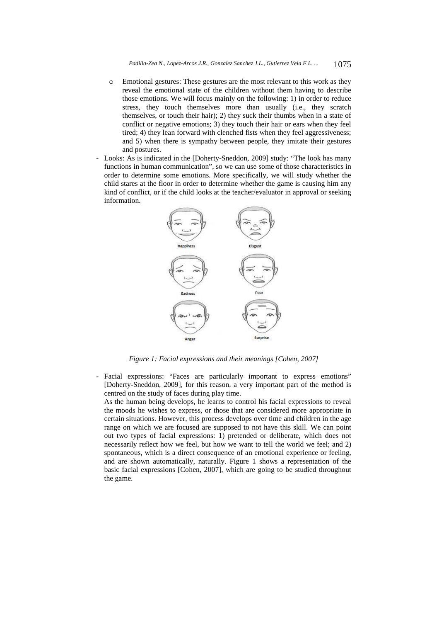- o Emotional gestures: These gestures are the most relevant to this work as they reveal the emotional state of the children without them having to describe those emotions. We will focus mainly on the following: 1) in order to reduce stress, they touch themselves more than usually (i.e., they scratch themselves, or touch their hair); 2) they suck their thumbs when in a state of conflict or negative emotions; 3) they touch their hair or ears when they feel tired; 4) they lean forward with clenched fists when they feel aggressiveness; and 5) when there is sympathy between people, they imitate their gestures and postures.
- Looks: As is indicated in the [Doherty-Sneddon, 2009] study: "The look has many functions in human communication", so we can use some of those characteristics in order to determine some emotions. More specifically, we will study whether the child stares at the floor in order to determine whether the game is causing him any kind of conflict, or if the child looks at the teacher/evaluator in approval or seeking information.



*Figure 1: Facial expressions and their meanings [Cohen, 2007]* 

- Facial expressions: "Faces are particularly important to express emotions" [Doherty-Sneddon, 2009], for this reason, a very important part of the method is centred on the study of faces during play time.

As the human being develops, he learns to control his facial expressions to reveal the moods he wishes to express, or those that are considered more appropriate in certain situations. However, this process develops over time and children in the age range on which we are focused are supposed to not have this skill. We can point out two types of facial expressions: 1) pretended or deliberate, which does not necessarily reflect how we feel, but how we want to tell the world we feel; and 2) spontaneous, which is a direct consequence of an emotional experience or feeling, and are shown automatically, naturally. Figure 1 shows a representation of the basic facial expressions [Cohen, 2007], which are going to be studied throughout the game.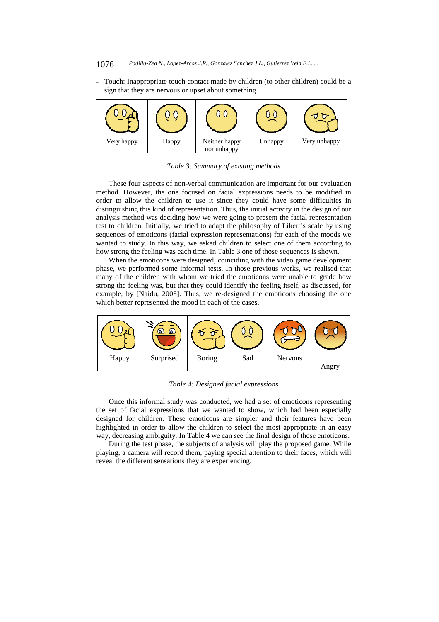Touch: Inappropriate touch contact made by children (to other children) could be a sign that they are nervous or upset about something.



*Table 3: Summary of existing methods* 

These four aspects of non-verbal communication are important for our evaluation method. However, the one focused on facial expressions needs to be modified in order to allow the children to use it since they could have some difficulties in distinguishing this kind of representation. Thus, the initial activity in the design of our analysis method was deciding how we were going to present the facial representation test to children. Initially, we tried to adapt the philosophy of Likert's scale by using sequences of emoticons (facial expression representations) for each of the moods we wanted to study. In this way, we asked children to select one of them according to how strong the feeling was each time. In Table 3 one of those sequences is shown.

When the emoticons were designed, coinciding with the video game development phase, we performed some informal tests. In those previous works, we realised that many of the children with whom we tried the emoticons were unable to grade how strong the feeling was, but that they could identify the feeling itself, as discussed, for example, by [Naidu, 2005]. Thus, we re-designed the emoticons choosing the one which better represented the mood in each of the cases.



*Table 4: Designed facial expressions*

Once this informal study was conducted, we had a set of emoticons representing the set of facial expressions that we wanted to show, which had been especially designed for children. These emoticons are simpler and their features have been highlighted in order to allow the children to select the most appropriate in an easy way, decreasing ambiguity. In Table 4 we can see the final design of these emoticons.

During the test phase, the subjects of analysis will play the proposed game. While playing, a camera will record them, paying special attention to their faces, which will reveal the different sensations they are experiencing.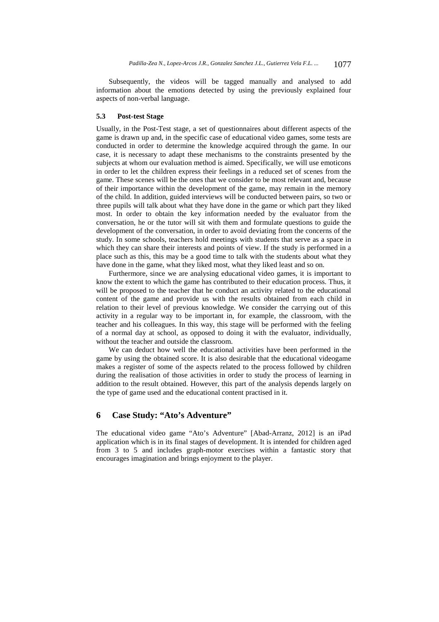Subsequently, the videos will be tagged manually and analysed to add information about the emotions detected by using the previously explained four aspects of non-verbal language.

#### **5.3 Post-test Stage**

Usually, in the Post-Test stage, a set of questionnaires about different aspects of the game is drawn up and, in the specific case of educational video games, some tests are conducted in order to determine the knowledge acquired through the game. In our case, it is necessary to adapt these mechanisms to the constraints presented by the subjects at whom our evaluation method is aimed. Specifically, we will use emoticons in order to let the children express their feelings in a reduced set of scenes from the game. These scenes will be the ones that we consider to be most relevant and, because of their importance within the development of the game, may remain in the memory of the child. In addition, guided interviews will be conducted between pairs, so two or three pupils will talk about what they have done in the game or which part they liked most. In order to obtain the key information needed by the evaluator from the conversation, he or the tutor will sit with them and formulate questions to guide the development of the conversation, in order to avoid deviating from the concerns of the study. In some schools, teachers hold meetings with students that serve as a space in which they can share their interests and points of view. If the study is performed in a place such as this, this may be a good time to talk with the students about what they have done in the game, what they liked most, what they liked least and so on.

Furthermore, since we are analysing educational video games, it is important to know the extent to which the game has contributed to their education process. Thus, it will be proposed to the teacher that he conduct an activity related to the educational content of the game and provide us with the results obtained from each child in relation to their level of previous knowledge. We consider the carrying out of this activity in a regular way to be important in, for example, the classroom, with the teacher and his colleagues. In this way, this stage will be performed with the feeling of a normal day at school, as opposed to doing it with the evaluator, individually, without the teacher and outside the classroom.

We can deduct how well the educational activities have been performed in the game by using the obtained score. It is also desirable that the educational videogame makes a register of some of the aspects related to the process followed by children during the realisation of those activities in order to study the process of learning in addition to the result obtained. However, this part of the analysis depends largely on the type of game used and the educational content practised in it.

# **6 Case Study: "Ato's Adventure"**

The educational video game "Ato's Adventure" [Abad-Arranz, 2012] is an iPad application which is in its final stages of development. It is intended for children aged from 3 to 5 and includes graph-motor exercises within a fantastic story that encourages imagination and brings enjoyment to the player.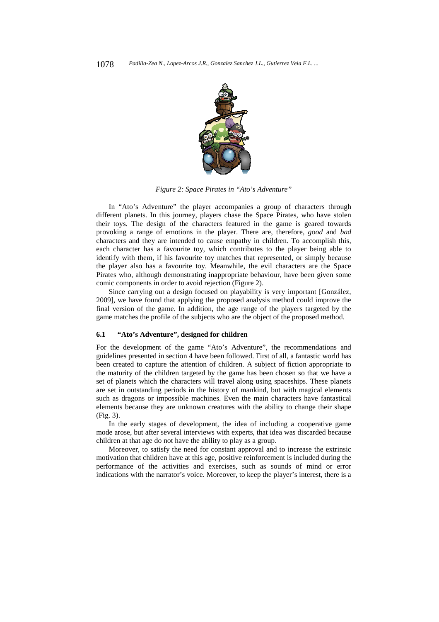

*Figure 2: Space Pirates in "Ato's Adventure"* 

In "Ato's Adventure" the player accompanies a group of characters through different planets. In this journey, players chase the Space Pirates, who have stolen their toys. The design of the characters featured in the game is geared towards provoking a range of emotions in the player. There are, therefore, *good* and *bad* characters and they are intended to cause empathy in children. To accomplish this, each character has a favourite toy, which contributes to the player being able to identify with them, if his favourite toy matches that represented, or simply because the player also has a favourite toy. Meanwhile, the evil characters are the Space Pirates who, although demonstrating inappropriate behaviour, have been given some comic components in order to avoid rejection (Figure 2).

Since carrying out a design focused on playability is very important [González, 2009], we have found that applying the proposed analysis method could improve the final version of the game. In addition, the age range of the players targeted by the game matches the profile of the subjects who are the object of the proposed method.

### **6.1 "Ato's Adventure", designed for children**

For the development of the game "Ato's Adventure", the recommendations and guidelines presented in section 4 have been followed. First of all, a fantastic world has been created to capture the attention of children. A subject of fiction appropriate to the maturity of the children targeted by the game has been chosen so that we have a set of planets which the characters will travel along using spaceships. These planets are set in outstanding periods in the history of mankind, but with magical elements such as dragons or impossible machines. Even the main characters have fantastical elements because they are unknown creatures with the ability to change their shape (Fig. 3).

In the early stages of development, the idea of including a cooperative game mode arose, but after several interviews with experts, that idea was discarded because children at that age do not have the ability to play as a group.

Moreover, to satisfy the need for constant approval and to increase the extrinsic motivation that children have at this age, positive reinforcement is included during the performance of the activities and exercises, such as sounds of mind or error indications with the narrator's voice. Moreover, to keep the player's interest, there is a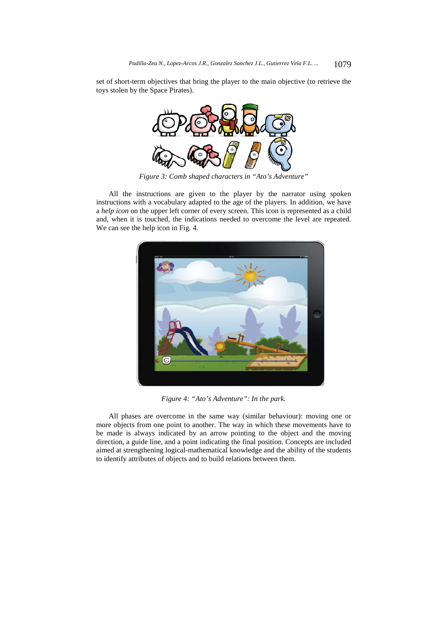set of short-term objectives that bring the player to the main objective (to retrieve the toys stolen by the Space Pirates).



*Figure 3: Comb shaped characters in "Ato's Adventure"* 

All the instructions are given to the player by the narrator using spoken instructions with a vocabulary adapted to the age of the players. In addition, we have a *help icon* on the upper left corner of every screen. This icon is represented as a child and, when it is touched, the indications needed to overcome the level are repeated. We can see the help icon in Fig. 4.



*Figure 4: "Ato's Adventure": In the park.* 

All phases are overcome in the same way (similar behaviour): moving one or more objects from one point to another. The way in which these movements have to be made is always indicated by an arrow pointing to the object and the moving direction, a guide line, and a point indicating the final position. Concepts are included aimed at strengthening logical-mathematical knowledge and the ability of the students to identify attributes of objects and to build relations between them.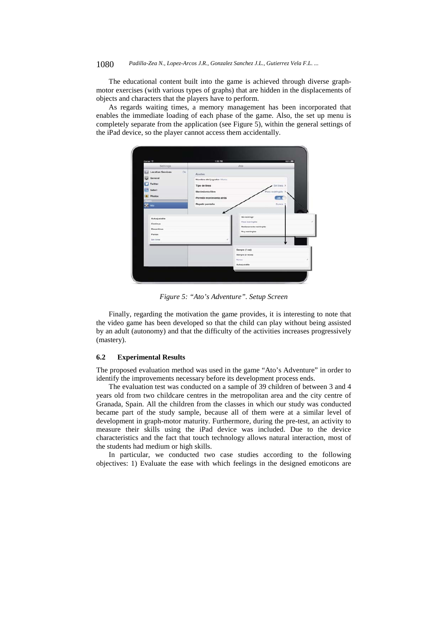The educational content built into the game is achieved through diverse graphmotor exercises (with various types of graphs) that are hidden in the displacements of objects and characters that the players have to perform.

As regards waiting times, a memory management has been incorporated that enables the immediate loading of each phase of the game. Also, the set up menu is completely separate from the application (see Figure 5), within the general settings of the iPad device, so the player cannot access them accidentally.

| Settings                                             | Ato                                                                    |
|------------------------------------------------------|------------------------------------------------------------------------|
| <b>Location Services</b><br>On<br>68<br>General<br>ø | <b>Ajustes</b><br>Nombre del jugador Marta                             |
| Twitter<br>Safari                                    | Tipo de linea<br>Sin lining 3                                          |
| <b>Photos</b>                                        | Movimiento libre<br>oco restringido<br>Permitir movimiento atrás<br>CN |
| <b>Ato</b>                                           | Repetir pantalla<br>Numbi >                                            |
| Autoajustable<br>Continua                            | Sin restringir<br>Poco restringida                                     |
| Discontinua<br>Puntos                                | Medianamente restringido<br>Muy restringida                            |
| <b>Sin lines</b>                                     |                                                                        |
|                                                      | Slempre (1 vez)<br>Siempra (2 veces)                                   |
|                                                      | <b>TRAYING</b><br>Autoajustable                                        |

*Figure 5: "Ato's Adventure". Setup Screen* 

Finally, regarding the motivation the game provides, it is interesting to note that the video game has been developed so that the child can play without being assisted by an adult (autonomy) and that the difficulty of the activities increases progressively (mastery).

#### **6.2 Experimental Results**

The proposed evaluation method was used in the game "Ato's Adventure" in order to identify the improvements necessary before its development process ends.

The evaluation test was conducted on a sample of 39 children of between 3 and 4 years old from two childcare centres in the metropolitan area and the city centre of Granada, Spain. All the children from the classes in which our study was conducted became part of the study sample, because all of them were at a similar level of development in graph-motor maturity. Furthermore, during the pre-test, an activity to measure their skills using the iPad device was included. Due to the device characteristics and the fact that touch technology allows natural interaction, most of the students had medium or high skills.

In particular, we conducted two case studies according to the following objectives: 1) Evaluate the ease with which feelings in the designed emoticons are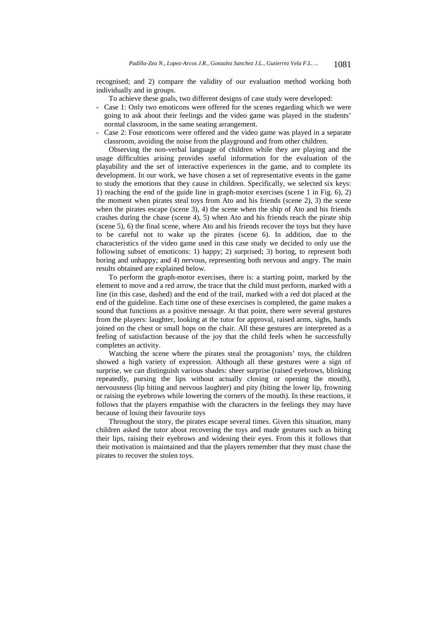recognised; and 2) compare the validity of our evaluation method working both individually and in groups.

- To achieve these goals, two different designs of case study were developed:
- Case 1: Only two emoticons were offered for the scenes regarding which we were going to ask about their feelings and the video game was played in the students' normal classroom, in the same seating arrangement.
- Case 2: Four emoticons were offered and the video game was played in a separate classroom, avoiding the noise from the playground and from other children.

Observing the non-verbal language of children while they are playing and the usage difficulties arising provides useful information for the evaluation of the playability and the set of interactive experiences in the game, and to complete its development. In our work, we have chosen a set of representative events in the game to study the emotions that they cause in children. Specifically, we selected six keys: 1) reaching the end of the guide line in graph-motor exercises (scene 1 in Fig. 6), 2) the moment when pirates steal toys from Ato and his friends (scene 2), 3) the scene when the pirates escape (scene 3), 4) the scene when the ship of Ato and his friends crashes during the chase (scene 4), 5) when Ato and his friends reach the pirate ship (scene 5), 6) the final scene, where Ato and his friends recover the toys but they have to be careful not to wake up the pirates (scene 6). In addition, due to the characteristics of the video game used in this case study we decided to only use the following subset of emoticons: 1) happy; 2) surprised; 3) boring, to represent both boring and unhappy; and 4) nervous, representing both nervous and angry. The main results obtained are explained below.

To perform the graph-motor exercises, there is: a starting point, marked by the element to move and a red arrow, the trace that the child must perform, marked with a line (in this case, dashed) and the end of the trail, marked with a red dot placed at the end of the guideline. Each time one of these exercises is completed, the game makes a sound that functions as a positive message. At that point, there were several gestures from the players: laughter, looking at the tutor for approval, raised arms, sighs, hands joined on the chest or small hops on the chair. All these gestures are interpreted as a feeling of satisfaction because of the joy that the child feels when he successfully completes an activity.

Watching the scene where the pirates steal the protagonists' toys, the children showed a high variety of expression. Although all these gestures were a sign of surprise, we can distinguish various shades: sheer surprise (raised eyebrows, blinking repeatedly, pursing the lips without actually closing or opening the mouth), nervousness (lip biting and nervous laughter) and pity (biting the lower lip, frowning or raising the eyebrows while lowering the corners of the mouth). In these reactions, it follows that the players empathise with the characters in the feelings they may have because of losing their favourite toys

Throughout the story, the pirates escape several times. Given this situation, many children asked the tutor about recovering the toys and made gestures such as biting their lips, raising their eyebrows and widening their eyes. From this it follows that their motivation is maintained and that the players remember that they must chase the pirates to recover the stolen toys.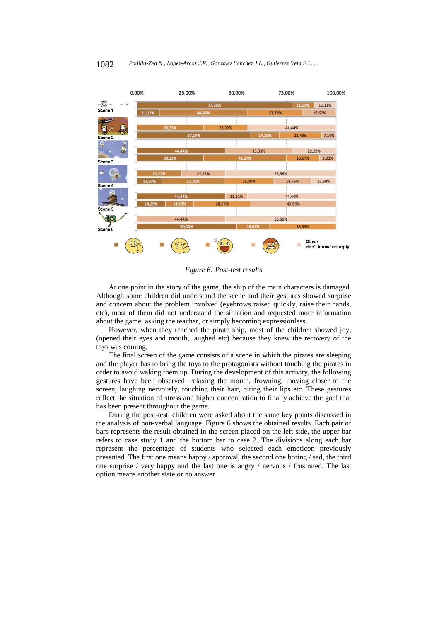

*Figure 6: Post-test results*

At one point in the story of the game, the ship of the main characters is damaged. Although some children did understand the scene and their gestures showed surprise and concern about the problem involved (eyebrows raised quickly, raise their hands, etc), most of them did not understand the situation and requested more information about the game, asking the teacher, or simply becoming expressionless.

However, when they reached the pirate ship, most of the children showed joy, (opened their eyes and mouth, laughed etc) because they knew the recovery of the toys was coming.

The final screen of the game consists of a scene in which the pirates are sleeping and the player has to bring the toys to the protagonists without touching the pirates in order to avoid waking them up. During the development of this activity, the following gestures have been observed: relaxing the mouth, frowning, moving closer to the screen, laughing nervously, touching their hair, biting their lips etc. These gestures reflect the situation of stress and higher concentration to finally achieve the goal that has been present throughout the game.

During the post-test, children were asked about the same key points discussed in the analysis of non-verbal language. Figure 6 shows the obtained results. Each pair of bars represents the result obtained in the screen placed on the left side, the upper bar refers to case study 1 and the bottom bar to case 2. The divisions along each bar represent the percentage of students who selected each emoticon previously presented. The first one means happy / approval, the second one boring / sad, the third one surprise / very happy and the last one is angry / nervous / frustrated. The last option means another state or no answer.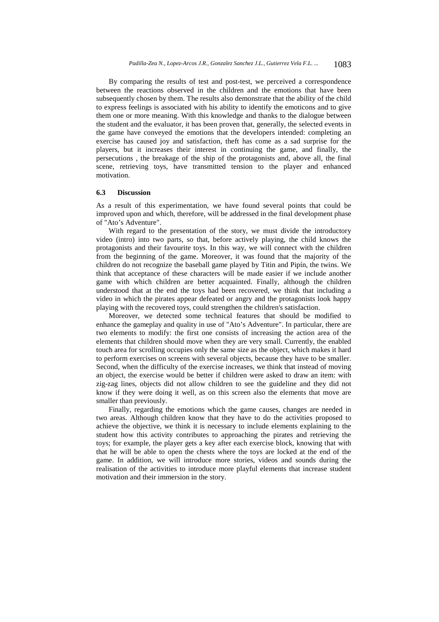By comparing the results of test and post-test, we perceived a correspondence between the reactions observed in the children and the emotions that have been subsequently chosen by them. The results also demonstrate that the ability of the child to express feelings is associated with his ability to identify the emoticons and to give them one or more meaning. With this knowledge and thanks to the dialogue between the student and the evaluator, it has been proven that, generally, the selected events in the game have conveyed the emotions that the developers intended: completing an exercise has caused joy and satisfaction, theft has come as a sad surprise for the players, but it increases their interest in continuing the game, and finally, the persecutions , the breakage of the ship of the protagonists and, above all, the final scene, retrieving toys, have transmitted tension to the player and enhanced motivation.

#### **6.3 Discussion**

As a result of this experimentation, we have found several points that could be improved upon and which, therefore, will be addressed in the final development phase of "Ato's Adventure".

With regard to the presentation of the story, we must divide the introductory video (intro) into two parts, so that, before actively playing, the child knows the protagonists and their favourite toys. In this way, we will connect with the children from the beginning of the game. Moreover, it was found that the majority of the children do not recognize the baseball game played by Titin and Pipín, the twins. We think that acceptance of these characters will be made easier if we include another game with which children are better acquainted. Finally, although the children understood that at the end the toys had been recovered, we think that including a video in which the pirates appear defeated or angry and the protagonists look happy playing with the recovered toys, could strengthen the children's satisfaction.

Moreover, we detected some technical features that should be modified to enhance the gameplay and quality in use of "Ato's Adventure". In particular, there are two elements to modify: the first one consists of increasing the action area of the elements that children should move when they are very small. Currently, the enabled touch area for scrolling occupies only the same size as the object, which makes it hard to perform exercises on screens with several objects, because they have to be smaller. Second, when the difficulty of the exercise increases, we think that instead of moving an object, the exercise would be better if children were asked to draw an item: with zig-zag lines, objects did not allow children to see the guideline and they did not know if they were doing it well, as on this screen also the elements that move are smaller than previously.

Finally, regarding the emotions which the game causes, changes are needed in two areas. Although children know that they have to do the activities proposed to achieve the objective, we think it is necessary to include elements explaining to the student how this activity contributes to approaching the pirates and retrieving the toys; for example, the player gets a key after each exercise block, knowing that with that he will be able to open the chests where the toys are locked at the end of the game. In addition, we will introduce more stories, videos and sounds during the realisation of the activities to introduce more playful elements that increase student motivation and their immersion in the story.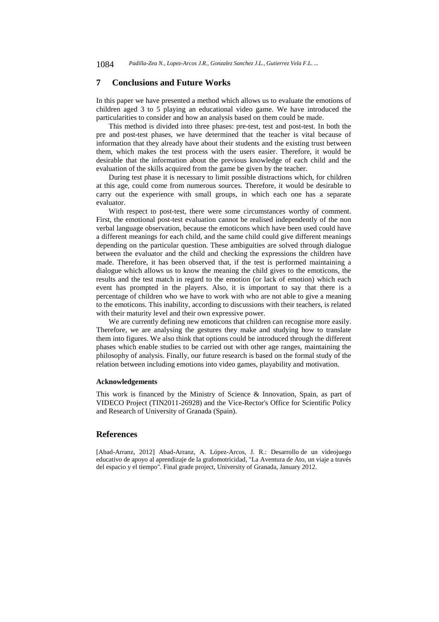### **7 Conclusions and Future Works**

In this paper we have presented a method which allows us to evaluate the emotions of children aged 3 to 5 playing an educational video game. We have introduced the particularities to consider and how an analysis based on them could be made.

This method is divided into three phases: pre-test, test and post-test. In both the pre and post-test phases, we have determined that the teacher is vital because of information that they already have about their students and the existing trust between them, which makes the test process with the users easier. Therefore, it would be desirable that the information about the previous knowledge of each child and the evaluation of the skills acquired from the game be given by the teacher.

During test phase it is necessary to limit possible distractions which, for children at this age, could come from numerous sources. Therefore, it would be desirable to carry out the experience with small groups, in which each one has a separate evaluator.

With respect to post-test, there were some circumstances worthy of comment. First, the emotional post-test evaluation cannot be realised independently of the non verbal language observation, because the emoticons which have been used could have a different meanings for each child, and the same child could give different meanings depending on the particular question. These ambiguities are solved through dialogue between the evaluator and the child and checking the expressions the children have made. Therefore, it has been observed that, if the test is performed maintaining a dialogue which allows us to know the meaning the child gives to the emoticons, the results and the test match in regard to the emotion (or lack of emotion) which each event has prompted in the players. Also, it is important to say that there is a percentage of children who we have to work with who are not able to give a meaning to the emoticons. This inability, according to discussions with their teachers, is related with their maturity level and their own expressive power.

We are currently defining new emoticons that children can recognise more easily. Therefore, we are analysing the gestures they make and studying how to translate them into figures. We also think that options could be introduced through the different phases which enable studies to be carried out with other age ranges, maintaining the philosophy of analysis. Finally, our future research is based on the formal study of the relation between including emotions into video games, playability and motivation.

#### **Acknowledgements**

This work is financed by the Ministry of Science & Innovation, Spain, as part of VIDECO Project (TIN2011-26928) and the Vice-Rector's Office for Scientific Policy and Research of University of Granada (Spain).

# **References**

[Abad-Arranz, 2012] Abad-Arranz, A. López-Arcos, J. R.: Desarrollo de un videojuego educativo de apoyo al aprendizaje de la grafomotricidad, "La Aventura de Ato, un viaje a través del espacio y el tiempo". Final grade project, University of Granada, January 2012.